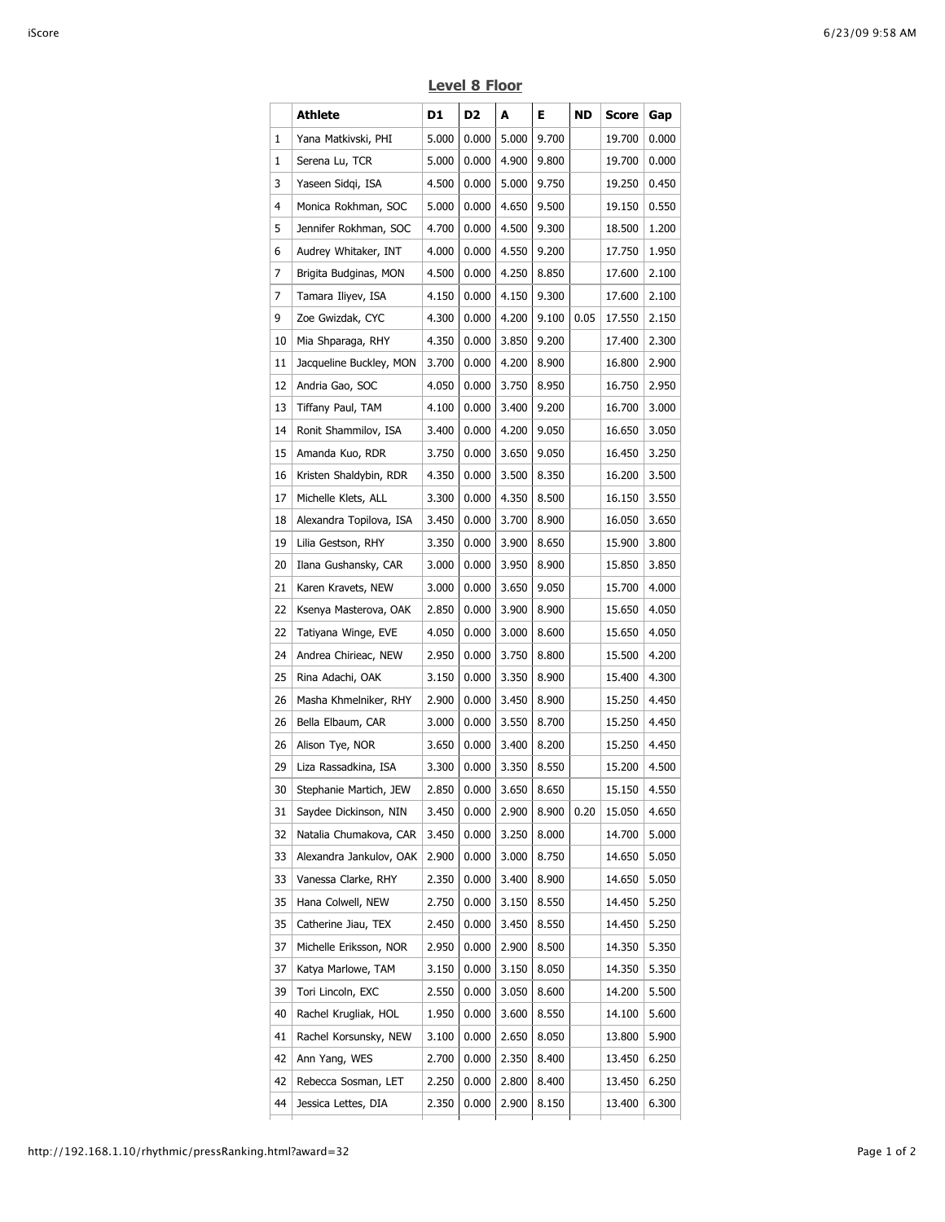|    | Athlete                 | D1    | D2    | A     | Е.    | ND   | <b>Score</b> | Gap   |
|----|-------------------------|-------|-------|-------|-------|------|--------------|-------|
| 1  | Yana Matkivski, PHI     | 5.000 | 0.000 | 5.000 | 9.700 |      | 19.700       | 0.000 |
| 1  | Serena Lu, TCR          | 5.000 | 0.000 | 4.900 | 9.800 |      | 19.700       | 0.000 |
| 3  | Yaseen Sidgi, ISA       | 4.500 | 0.000 | 5.000 | 9.750 |      | 19.250       | 0.450 |
| 4  | Monica Rokhman, SOC     | 5.000 | 0.000 | 4.650 | 9.500 |      | 19.150       | 0.550 |
| 5  | Jennifer Rokhman, SOC   | 4.700 | 0.000 | 4.500 | 9.300 |      | 18.500       | 1.200 |
| 6  | Audrey Whitaker, INT    | 4.000 | 0.000 | 4.550 | 9.200 |      | 17.750       | 1.950 |
| 7  | Brigita Budginas, MON   | 4.500 | 0.000 | 4.250 | 8.850 |      | 17.600       | 2.100 |
| 7  | Tamara Iliyev, ISA      | 4.150 | 0.000 | 4.150 | 9.300 |      | 17.600       | 2.100 |
| 9  | Zoe Gwizdak, CYC        | 4.300 | 0.000 | 4.200 | 9.100 | 0.05 | 17.550       | 2.150 |
| 10 | Mia Shparaga, RHY       | 4.350 | 0.000 | 3.850 | 9.200 |      | 17.400       | 2.300 |
| 11 | Jacqueline Buckley, MON | 3.700 | 0.000 | 4.200 | 8.900 |      | 16.800       | 2.900 |
| 12 | Andria Gao, SOC         | 4.050 | 0.000 | 3.750 | 8.950 |      | 16.750       | 2.950 |
| 13 | Tiffany Paul, TAM       | 4.100 | 0.000 | 3.400 | 9.200 |      | 16.700       | 3.000 |
| 14 | Ronit Shammilov, ISA    | 3.400 | 0.000 | 4.200 | 9.050 |      | 16.650       | 3.050 |
| 15 | Amanda Kuo, RDR         | 3.750 | 0.000 | 3.650 | 9.050 |      | 16.450       | 3.250 |
| 16 | Kristen Shaldybin, RDR  | 4.350 | 0.000 | 3.500 | 8.350 |      | 16.200       | 3.500 |
| 17 | Michelle Klets, ALL     | 3.300 | 0.000 | 4.350 | 8.500 |      | 16.150       | 3.550 |
| 18 | Alexandra Topilova, ISA | 3.450 | 0.000 | 3.700 | 8.900 |      | 16.050       | 3.650 |
| 19 | Lilia Gestson, RHY      | 3.350 | 0.000 | 3.900 | 8.650 |      | 15.900       | 3.800 |
| 20 | Ilana Gushansky, CAR    | 3.000 | 0.000 | 3.950 | 8.900 |      | 15.850       | 3.850 |
| 21 | Karen Kravets, NEW      | 3.000 | 0.000 | 3.650 | 9.050 |      | 15.700       | 4.000 |
| 22 | Ksenya Masterova, OAK   | 2.850 | 0.000 | 3.900 | 8.900 |      | 15.650       | 4.050 |
| 22 | Tatiyana Winge, EVE     | 4.050 | 0.000 | 3.000 | 8.600 |      | 15.650       | 4.050 |
| 24 | Andrea Chirieac, NEW    | 2.950 | 0.000 | 3.750 | 8.800 |      | 15.500       | 4.200 |
| 25 | Rina Adachi, OAK        | 3.150 | 0.000 | 3.350 | 8.900 |      | 15.400       | 4.300 |
| 26 | Masha Khmelniker, RHY   | 2.900 | 0.000 | 3.450 | 8.900 |      | 15.250       | 4.450 |
| 26 | Bella Elbaum, CAR       | 3.000 | 0.000 | 3.550 | 8.700 |      | 15.250       | 4.450 |
| 26 | Alison Tye, NOR         | 3.650 | 0.000 | 3.400 | 8.200 |      | 15.250       | 4.450 |
| 29 | Liza Rassadkina, ISA    | 3.300 | 0.000 | 3.350 | 8.550 |      | 15.200       | 4.500 |
| 30 | Stephanie Martich, JEW  | 2.850 | 0.000 | 3.650 | 8.650 |      | 15.150 4.550 |       |
| 31 | Saydee Dickinson, NIN   | 3.450 | 0.000 | 2.900 | 8.900 | 0.20 | 15.050       | 4.650 |
| 32 | Natalia Chumakova, CAR  | 3.450 | 0.000 | 3.250 | 8.000 |      | 14.700       | 5.000 |
| 33 | Alexandra Jankulov, OAK | 2.900 | 0.000 | 3.000 | 8.750 |      | 14.650       | 5.050 |
| 33 | Vanessa Clarke, RHY     | 2.350 | 0.000 | 3.400 | 8.900 |      | 14.650       | 5.050 |
| 35 | Hana Colwell, NEW       | 2.750 | 0.000 | 3.150 | 8.550 |      | 14.450       | 5.250 |
| 35 | Catherine Jiau, TEX     | 2.450 | 0.000 | 3.450 | 8.550 |      | 14.450       | 5.250 |
| 37 | Michelle Eriksson, NOR  | 2.950 | 0.000 | 2.900 | 8.500 |      | 14.350       | 5.350 |
| 37 | Katya Marlowe, TAM      | 3.150 | 0.000 | 3.150 | 8.050 |      | 14.350       | 5.350 |
| 39 | Tori Lincoln, EXC       | 2.550 | 0.000 | 3.050 | 8.600 |      | 14.200       | 5.500 |
| 40 | Rachel Krugliak, HOL    | 1.950 | 0.000 | 3.600 | 8.550 |      | 14.100       | 5.600 |
| 41 | Rachel Korsunsky, NEW   | 3.100 | 0.000 | 2.650 | 8.050 |      | 13.800       | 5.900 |
| 42 | Ann Yang, WES           | 2.700 | 0.000 | 2.350 | 8.400 |      | 13.450       | 6.250 |
| 42 | Rebecca Sosman, LET     | 2.250 | 0.000 | 2.800 | 8.400 |      | 13.450       | 6.250 |
| 44 | Jessica Lettes, DIA     | 2.350 | 0.000 | 2.900 | 8.150 |      | 13.400       | 6.300 |

## **Level 8 Floor**